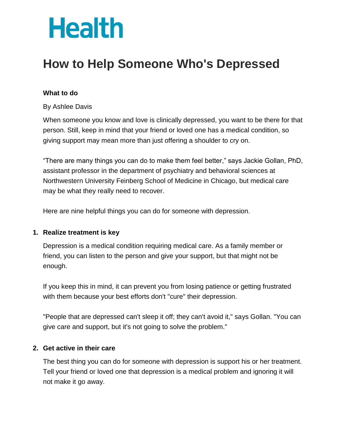# **Health**

# **How to Help Someone Who's Depressed**

## **What to do**

By Ashlee Davis

When someone you know and love is clinically depressed, you want to be there for that person. Still, keep in mind that your friend or loved one has a medical condition, so giving support may mean more than just offering a shoulder to cry on.

"There are many things you can do to make them feel better," says Jackie Gollan, PhD, assistant professor in the department of psychiatry and behavioral sciences at Northwestern University Feinberg School of Medicine in Chicago, but medical care may be what they really need to recover.

Here are nine helpful things you can do for someone with depression.

#### **1. Realize treatment is key**

Depression is a medical condition requiring medical care. As a family member or friend, you can listen to the person and give your support, but that might not be enough.

If you keep this in mind, it can prevent you from losing patience or getting frustrated with them because your best efforts don't "cure" their depression.

"People that are depressed can't sleep it off; they can't avoid it," says Gollan. "You can give care and support, but it's not going to solve the problem."

#### **2. Get active in their care**

The best thing you can do for someone with depression is support his or her treatment. Tell your friend or loved one that depression is a medical problem and ignoring it will not make it go away.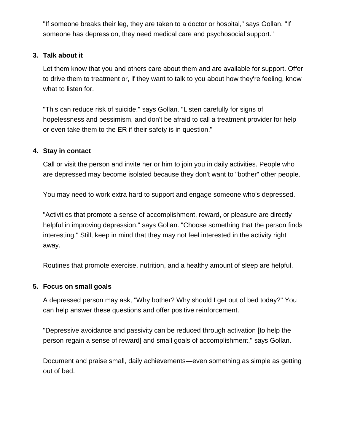"If someone breaks their leg, they are taken to a doctor or hospital," says Gollan. "If someone has depression, they need medical care and psychosocial support."

### **3. Talk about it**

Let them know that you and others care about them and are available for support. Offer to drive them to treatment or, if they want to talk to you about how they're feeling, know what to listen for.

"This can reduce risk of suicide," says Gollan. "Listen carefully for signs of hopelessness and pessimism, and don't be afraid to call a treatment provider for help or even take them to the ER if their safety is in question."

#### **4. Stay in contact**

Call or visit the person and invite her or him to join you in daily activities. People who are depressed may become isolated because they don't want to "bother" other people.

You may need to work extra hard to support and engage someone who's depressed.

"Activities that promote a sense of accomplishment, reward, or pleasure are directly helpful in improving depression," says Gollan. "Choose something that the person finds interesting." Still, keep in mind that they may not feel interested in the activity right away.

Routines that promote exercise, nutrition, and a healthy amount of sleep are helpful.

# **5. Focus on small goals**

A depressed person may ask, "Why bother? Why should I get out of bed today?" You can help answer these questions and offer positive reinforcement.

"Depressive avoidance and passivity can be reduced through activation [to help the person regain a sense of reward] and small goals of accomplishment," says Gollan.

Document and praise small, daily achievements—even something as simple as getting out of bed.